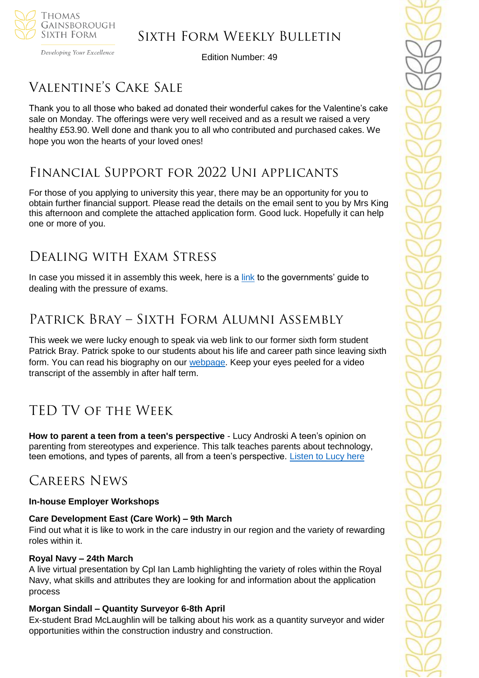

Developing Your Excellence

Edition Number: 49

# Valentine's Cake Sale

Thank you to all those who baked ad donated their wonderful cakes for the Valentine's cake sale on Monday. The offerings were very well received and as a result we raised a very healthy £53.90. Well done and thank you to all who contributed and purchased cakes. We hope you won the hearts of your loved ones!

# Financial Support for 2022 Uni applicants

For those of you applying to university this year, there may be an opportunity for you to obtain further financial support. Please read the details on the email sent to you by Mrs King this afternoon and complete the attached application form. Good luck. Hopefully it can help one or more of you.

# Dealing with Exam Stress

In case you missed it in assembly this week, here is a [link](https://www.gov.uk/government/publications/coping-with-exam-pressure-a-guide-for-students/coping-with-exam-pressure-a-guide-for-students) to the governments' guide to dealing with the pressure of exams.

# Patrick Bray – Sixth Form Alumni Assembly

This week we were lucky enough to speak via web link to our former sixth form student Patrick Bray. Patrick spoke to our students about his life and career path since leaving sixth form. You can read his biography on our [webpage.](https://tgschool.net/news/patrick-bray-sixth-form-alumni) Keep your eyes peeled for a video transcript of the assembly in after half term.

# TED TV of the Week

**How to parent a teen from a teen's perspective** - Lucy Androski A teen's opinion on parenting from stereotypes and experience. This talk teaches parents about technology, teen emotions, and types of parents, all from a teen's perspective. [Listen to Lucy here](https://www.ted.com/talks/lucy_androski_how_to_parent_a_teen_from_a_teen_s_perspective)

# CARFERS NEWS

## **In-house Employer Workshops**

# **Care Development East (Care Work) – 9th March**

Find out what it is like to work in the care industry in our region and the variety of rewarding roles within it.

# **Royal Navy – 24th March**

A live virtual presentation by Cpl Ian Lamb highlighting the variety of roles within the Royal Navy, what skills and attributes they are looking for and information about the application process

# **Morgan Sindall – Quantity Surveyor 6-8th April**

Ex-student Brad McLaughlin will be talking about his work as a quantity surveyor and wider opportunities within the construction industry and construction.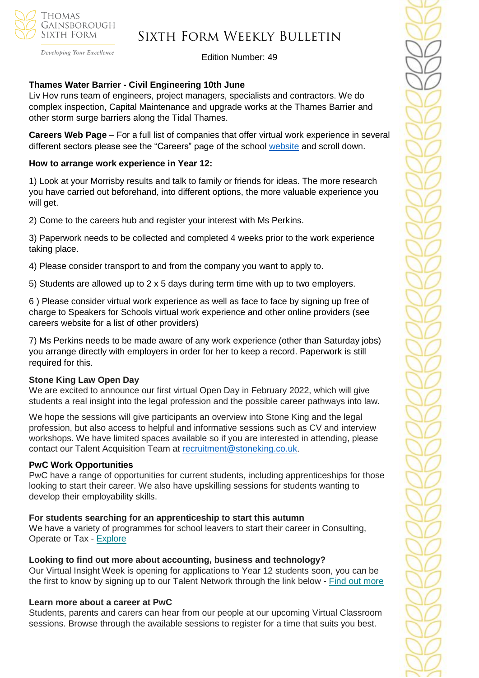

# Sixth Form Weekly Bulletin

Edition Number: 49

## **Thames Water Barrier - Civil Engineering 10th June**

Liv Hov runs team of engineers, project managers, specialists and contractors. We do complex inspection, Capital Maintenance and upgrade works at the Thames Barrier and other storm surge barriers along the Tidal Thames.

**Careers Web Page** – For a full list of companies that offer virtual work experience in several different sectors please see the "Careers" page of the school [website](https://tgschool.net/careers) and scroll down.

### **How to arrange work experience in Year 12:**

1) Look at your Morrisby results and talk to family or friends for ideas. The more research you have carried out beforehand, into different options, the more valuable experience you will get.

2) Come to the careers hub and register your interest with Ms Perkins.

3) Paperwork needs to be collected and completed 4 weeks prior to the work experience taking place.

4) Please consider transport to and from the company you want to apply to.

5) Students are allowed up to 2 x 5 days during term time with up to two employers.

6 ) Please consider virtual work experience as well as face to face by signing up free of charge to Speakers for Schools virtual work experience and other online providers (see careers website for a list of other providers)

7) Ms Perkins needs to be made aware of any work experience (other than Saturday jobs) you arrange directly with employers in order for her to keep a record. Paperwork is still required for this.

## **Stone King Law Open Day**

We are excited to announce our first virtual Open Day in February 2022, which will give students a real insight into the legal profession and the possible career pathways into law.

We hope the sessions will give participants an overview into Stone King and the legal profession, but also access to helpful and informative sessions such as CV and interview workshops. We have limited spaces available so if you are interested in attending, please contact our Talent Acquisition Team at [recruitment@stoneking.co.uk](mailto:recruitment@stoneking.co.uk).

#### **PwC Work Opportunities**

PwC have a range of opportunities for current students, including apprenticeships for those looking to start their career. We also have upskilling sessions for students wanting to develop their employability skills.

#### **For students searching for an apprenticeship to start this autumn**

We have a variety of programmes for school leavers to start their career in Consulting, Operate or Tax - [Explore](https://successatschool.us3.list-manage.com/track/click?u=2c038531b25876a2c7c9cf8b1&id=9f5897f3f7&e=530f418f3c)

## **Looking to find out more about accounting, business and technology?**

Our Virtual Insight Week is opening for applications to Year 12 students soon, you can be the first to know by signing up to our Talent Network through the link below - Find out [more](https://successatschool.us3.list-manage.com/track/click?u=2c038531b25876a2c7c9cf8b1&id=f5cecfdb6a&e=530f418f3c)

#### **Learn more about a career at PwC**

Students, parents and carers can hear from our people at our upcoming Virtual Classroom sessions. Browse through the available sessions to register for a time that suits you best.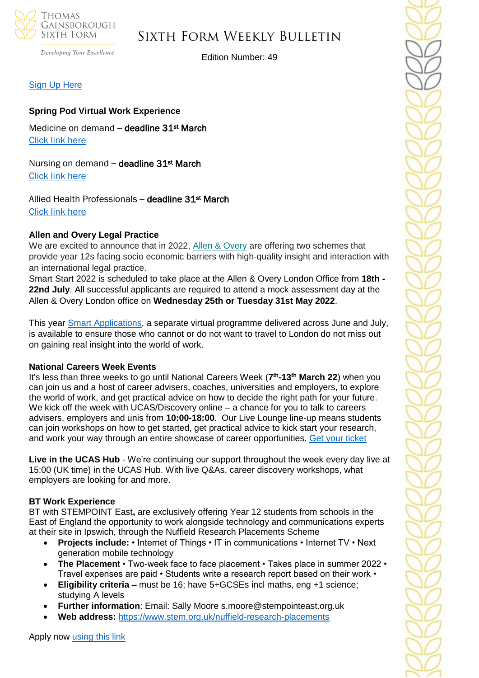

# Sixth Form Weekly Bulletin

Edition Number: 49

### [Sign Up Here](https://www.pwc.co.uk/careers/student-careers/school-careers/virtual-classroom.html)

#### **Spring Pod Virtual Work Experience**

Medicine on demand - deadline 31st March [Click link here](https://www.springpod.com/virtual-work-experience/health-education-england-medicine-online-work-related-learning?utm_source=febpdf&utm_medium=email&utm_campaign=vwex&utm_term=vwex_febpdf&utm_content=vwex_febpdf_medicine_hee)

Nursing on demand - deadline 31<sup>st</sup> March [Click link here](https://www.springpod.com/virtual-work-experience/health-education-england-nursing-online-work-related-learning?utm_source=febpdf&utm_medium=email&utm_campaign=vwex&utm_term=vwex_febpdf&utm_content=vwex_febpdf_nursing_hee)

Allied Health Professionals - deadline 31st March [Click link here](https://www.springpod.com/virtual-work-experience/allied-health-professional-online-work-related-learning?utm_source=febpdf&utm_medium=email&utm_campaign=vwex&utm_term=vwex_febpdf&utm_content=vwex_febpdf_ahp_on_demand)

#### **Allen and Overy Legal Practice**

We are excited to announce that in 2022, Allen & [Overy](https://www.allenovery.com/en-gb/global) are offering two schemes that provide year 12s facing socio economic barriers with high-quality insight and interaction with an international legal practice.

Smart Start 2022 is scheduled to take place at the Allen & Overy London Office from **18th - 22nd July**. All successful applicants are required to attend a mock assessment day at the Allen & Overy London office on **Wednesday 25th or Tuesday 31st May 2022**.

This year Smart [Applications,](https://causeway.education/smart-start-2022) a separate virtual programme delivered across June and July, is available to ensure those who cannot or do not want to travel to London do not miss out on gaining real insight into the world of work.

#### **National Careers Week Events**

It's less than three weeks to go until National Careers Week (7<sup>th</sup>-13<sup>th</sup> March 22) when you can join us and a host of career advisers, coaches, universities and employers, to explore the world of work, and get practical advice on how to decide the right path for your future. We kick off the week with UCAS/Discovery online – a chance for you to talk to careers advisers, employers and unis from **10:00-18:00**. Our Live Lounge line-up means students can join workshops on how to get started, get practical advice to kick start your research, and work your way through an entire showcase of career opportunities. [Get your ticket](https://www.ucas.com/events/ucasdiscovery-404021)

**Live in the UCAS Hub** - We're continuing our support throughout the week every day live at 15:00 (UK time) in the UCAS Hub. With live Q&As, career discovery workshops, what employers are looking for and more.

#### **BT Work Experience**

BT with STEMPOINT East**,** are exclusively offering Year 12 students from schools in the East of England the opportunity to work alongside technology and communications experts at their site in Ipswich, through the Nuffield Research Placements Scheme

- **Projects include:** Internet of Things IT in communications Internet TV Next generation mobile technology
- **The Placemen**t Two-week face to face placement Takes place in summer 2022 Travel expenses are paid • Students write a research report based on their work •
- **Eligibility criteria –** must be 16; have 5+GCSEs incl maths, eng +1 science; studying A levels
- **Further information**: Email: Sally Moore s.moore@stempointeast.org.uk
- **Web address:** <https://www.stem.org.uk/nuffield-research-placements>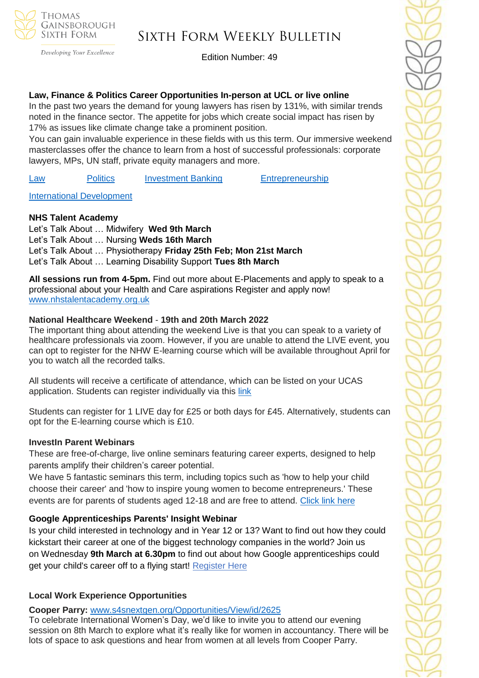

# Sixth Form Weekly Bulletin

Edition Number: 49

### **Law, Finance & Politics Career Opportunities In-person at UCL or live online**

In the past two years the demand for young lawyers has risen by 131%, with similar trends noted in the finance sector. The appetite for jobs which create social impact has risen by 17% as issues like climate change take a prominent position.

You can gain invaluable experience in these fields with us this term. Our immersive weekend masterclasses offer the chance to learn from a host of successful professionals: corporate lawyers, MPs, UN staff, private equity managers and more.

[Law](https://investin.org/pages/law?utm_source=UK+SCHOOLS+MASTER&utm_campaign=db55dddcac-bankersschoolmar_COPY_01&utm_medium=email&utm_term=0_bfccb03bbd-db55dddcac-137697031&mc_cid=db55dddcac&mc_eid=894e4199ae) [Politics](https://investin.org/pages/politics?utm_source=UK+SCHOOLS+MASTER&utm_campaign=db55dddcac-bankersschoolmar_COPY_01&utm_medium=email&utm_term=0_bfccb03bbd-db55dddcac-137697031&mc_cid=db55dddcac&mc_eid=894e4199ae) [Investment Banking](https://investin.org/pages/investment-banking?utm_source=UK+SCHOOLS+MASTER&utm_campaign=db55dddcac-bankersschoolmar_COPY_01&utm_medium=email&utm_term=0_bfccb03bbd-db55dddcac-137697031&mc_cid=db55dddcac&mc_eid=894e4199ae) [Entrepreneurship](https://investin.org/pages/entrepreneurship?utm_source=UK+SCHOOLS+MASTER&utm_campaign=db55dddcac-bankersschoolmar_COPY_01&utm_medium=email&utm_term=0_bfccb03bbd-db55dddcac-137697031&mc_cid=db55dddcac&mc_eid=894e4199ae)

[International Development](https://investin.org/pages/international-development?utm_source=UK+SCHOOLS+MASTER&utm_campaign=db55dddcac-bankersschoolmar_COPY_01&utm_medium=email&utm_term=0_bfccb03bbd-db55dddcac-137697031&mc_cid=db55dddcac&mc_eid=894e4199ae)

#### **NHS Talent Academy**

Let's Talk About … Midwifery **Wed 9th March**  Let's Talk About … Nursing **Weds 16th March** Let's Talk About … Physiotherapy **Friday 25th Feb; Mon 21st March** Let's Talk About … Learning Disability Support **Tues 8th March**

**All sessions run from 4-5pm.** Find out more about E-Placements and apply to speak to a professional about your Health and Care aspirations Register and apply now! [www.nhstalentacademy.org.uk](file://///tgs-sr-data/Staff%20Shared-N/Sixth%20Form/Admin/Weekly%20Bulletin/www.nhstalentacademy.org.uk)

#### **National Healthcare Weekend** - **19th and 20th March 2022**

The important thing about attending the weekend Live is that you can speak to a variety of healthcare professionals via zoom. However, if you are unable to attend the LIVE event, you can opt to register for the NHW E-learning course which will be available throughout April for you to watch all the recorded talks.

All students will receive a certificate of attendance, which can be listed on your UCAS application. Students can register individually via this [link](https://alliedhealthmentor.org/national-healthcare-weekend/)

Students can register for 1 LIVE day for £25 or both days for £45. Alternatively, students can opt for the E-learning course which is £10.

#### **InvestIn Parent Webinars**

These are free-of-charge, live online seminars featuring career experts, designed to help parents amplify their children's career potential.

We have 5 fantastic seminars this term, including topics such as 'how to help your child choose their career' and 'how to inspire young women to become entrepreneurs.' These events are for parents of students aged 12-18 and are free to attend. [Click link here](https://investin.org/pages/parent-events?mc_cid=9c80b43ed8&mc_eid=1348b989f1)

#### **Google Apprenticeships Parents' Insight Webinar**

Is your child interested in technology and in Year 12 or 13? Want to find out how they could kickstart their career at one of the biggest technology companies in the world? Join us on Wednesday **9th March at 6.30pm** to find out about how Google apprenticeships could get your child's career off to a flying start! [Register](https://www.eventbrite.co.uk/e/google-apprenticeships-parents-insight-webinar-tickets-260281578207?aff=odeimcmailchimp&goal=0_65c6d67e71-94d6dcd2d7-212136547&mc_cid=94d6dcd2d7&mc_eid=530f418f3c) Here

#### **Local Work Experience Opportunities**

**Cooper Parry:** [www.s4snextgen.org/Opportunities/View/id/2625](https://emea01.safelinks.protection.outlook.com/?url=http%3A%2F%2Fwww.s4snextgen.org%2FOpportunities%2FView%2Fid%2F2625&data=04%7C01%7C%7C768101927a38480d544508d9e1093bad%7C84df9e7fe9f640afb435aaaaaaaaaaaa%7C1%7C0%7C637788252042419044%7CUnknown%7CTWFpbGZsb3d8eyJWIjoiMC4wLjAwMDAiLCJQIjoiV2luMzIiLCJBTiI6Ik1haWwiLCJXVCI6Mn0%3D%7C3000&sdata=cEBtISNnaEr21TtOkSWwc1uHUJg0lddjwGcC53iOnOY%3D&reserved=0)

To celebrate International Women's Day, we'd like to invite you to attend our evening session on 8th March to explore what it's really like for women in accountancy. There will be lots of space to ask questions and hear from women at all levels from Cooper Parry.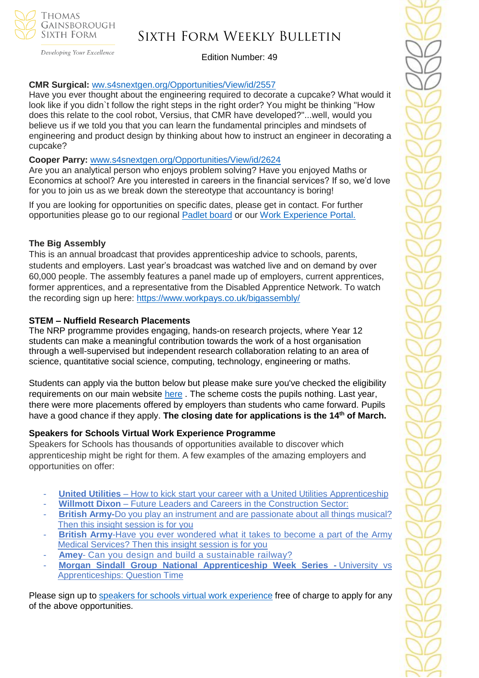

Developing Your Excellence

Edition Number: 49

#### **CMR Surgical:** [ww.s4snextgen.org/Opportunities/View/id/2557](https://emea01.safelinks.protection.outlook.com/?url=http%3A%2F%2Fwww.s4snextgen.org%2FOpportunities%2FView%2Fid%2F2557&data=04%7C01%7C%7C768101927a38480d544508d9e1093bad%7C84df9e7fe9f640afb435aaaaaaaaaaaa%7C1%7C0%7C637788252042419044%7CUnknown%7CTWFpbGZsb3d8eyJWIjoiMC4wLjAwMDAiLCJQIjoiV2luMzIiLCJBTiI6Ik1haWwiLCJXVCI6Mn0%3D%7C3000&sdata=Kr%2Bgk3G3cSCBMCZXy9y5Y%2BPvrc05A4W4XgtsqUuXXDI%3D&reserved=0)

Have you ever thought about the engineering required to decorate a cupcake? What would it look like if you didn`t follow the right steps in the right order? You might be thinking "How does this relate to the cool robot, Versius, that CMR have developed?"...well, would you believe us if we told you that you can learn the fundamental principles and mindsets of engineering and product design by thinking about how to instruct an engineer in decorating a cupcake?

#### **Cooper Parry:** [www.s4snextgen.org/Opportunities/View/id/2624](https://emea01.safelinks.protection.outlook.com/?url=http%3A%2F%2Fwww.s4snextgen.org%2FOpportunities%2FView%2Fid%2F2624&data=04%7C01%7C%7C768101927a38480d544508d9e1093bad%7C84df9e7fe9f640afb435aaaaaaaaaaaa%7C1%7C0%7C637788252042419044%7CUnknown%7CTWFpbGZsb3d8eyJWIjoiMC4wLjAwMDAiLCJQIjoiV2luMzIiLCJBTiI6Ik1haWwiLCJXVCI6Mn0%3D%7C3000&sdata=N70IqMIVhddXg1hKGzPxo7mJpT38w90LCJaVEIPomC4%3D&reserved=0)

Are you an analytical person who enjoys problem solving? Have you enjoyed Maths or Economics at school? Are you interested in careers in the financial services? If so, we'd love for you to join us as we break down the stereotype that accountancy is boring!

If you are looking for opportunities on specific dates, please get in contact. For further opportunities please go to our regional [Padlet](https://emea01.safelinks.protection.outlook.com/?url=https%3A%2F%2Fpadlet.com%2FSFSEast%2Fgexg5eu91pyzwt4j&data=04%7C01%7C%7C768101927a38480d544508d9e1093bad%7C84df9e7fe9f640afb435aaaaaaaaaaaa%7C1%7C0%7C637788252042419044%7CUnknown%7CTWFpbGZsb3d8eyJWIjoiMC4wLjAwMDAiLCJQIjoiV2luMzIiLCJBTiI6Ik1haWwiLCJXVCI6Mn0%3D%7C3000&sdata=X1r%2FNbQ0zg6qejulMgxSx39S0BtCd8vMLeO6k9Nb0tg%3D&reserved=0) board or our Work [Experience](https://emea01.safelinks.protection.outlook.com/?url=https%3A%2F%2Fwww.s4snextgen.org%2F&data=04%7C01%7C%7C768101927a38480d544508d9e1093bad%7C84df9e7fe9f640afb435aaaaaaaaaaaa%7C1%7C0%7C637788252042419044%7CUnknown%7CTWFpbGZsb3d8eyJWIjoiMC4wLjAwMDAiLCJQIjoiV2luMzIiLCJBTiI6Ik1haWwiLCJXVCI6Mn0%3D%7C3000&sdata=ti0S6yewXyHWtGFbnSAHum5Rtiknezr33lZX65Uz19Q%3D&reserved=0) Portal.

## **The Big Assembly**

This is an annual broadcast that provides apprenticeship advice to schools, parents, students and employers. Last year's broadcast was watched live and on demand by over 60,000 people. The assembly features a panel made up of employers, current apprentices, former apprentices, and a representative from the Disabled Apprentice Network. To watch the recording sign up here: [https://www.workpays.co.uk/bigassembly/](https://emea01.safelinks.protection.outlook.com/?url=https%3A%2F%2Feducation.us8.list-manage.com%2Ftrack%2Fclick%3Fu%3D37f3ff5dd5ca9f203df2689a5%26id%3D5751336036%26e%3D6c4627dc7a&data=04%7C01%7C%7C5109108ec3cc49416da408d9ebb534ac%7C84df9e7fe9f640afb435aaaaaaaaaaaa%7C1%7C0%7C637799986632838206%7CUnknown%7CTWFpbGZsb3d8eyJWIjoiMC4wLjAwMDAiLCJQIjoiV2luMzIiLCJBTiI6Ik1haWwiLCJXVCI6Mn0%3D%7C3000&sdata=yPVerDGT2%2FdrjqSBCsC6GK0%2Bev7b19RaVTN0BP1wFZc%3D&reserved=0)

### **STEM – Nuffield Research Placements**

The NRP programme provides engaging, hands-on research projects, where Year 12 students can make a meaningful contribution towards the work of a host organisation through a well-supervised but independent research collaboration relating to an area of science, quantitative social science, computing, technology, engineering or maths.

Students can apply via the button below but please make sure you've checked the eligibility requirements on our main website [here](https://www.stem.org.uk/nuffield-research-placements) . The scheme costs the pupils nothing. Last year, there were more placements offered by employers than students who came forward. Pupils have a good chance if they apply. **The closing date for applications is the 14th of March.**

## **Speakers for Schools Virtual Work Experience Programme**

Speakers for Schools has thousands of opportunities available to discover which apprenticeship might be right for them. A few examples of the amazing employers and opportunities on offer:

- **United Utilities** How to kick start your career with a United Utilities [Apprenticeship](https://www.s4snextgen.org/Opportunities/View/id/2416)
- **Willmott Dixon** Future Leaders and Careers in the [Construction](https://www.s4snextgen.org/Opportunities/View/id/2536) Sector:
- **British Army-**Do you play an instrument and are [passionate](http://www.s4snextgen.org/Opportunities/View/id/2513) about all things musical? Then this insight [session](http://www.s4snextgen.org/Opportunities/View/id/2513) is for you
- **British Army-Have you ever [wondered](https://www.s4snextgen.org/Opportunities/View/id/2514) what it takes to become a part of the Army** Medical [Services?](https://www.s4snextgen.org/Opportunities/View/id/2514) Then this insight session is for you
- Amey- Can you design and build a [sustainable](http://www.s4snextgen.org/Opportunities/View/id/2189) railway?
- **Morgan Sindall Group National [Apprenticeship](http://www.s4snextgen.org/Opportunities/View/id/2506) Week Series -** University vs [Apprenticeships:](http://www.s4snextgen.org/Opportunities/View/id/2506) Question Time

Please sign up to speakers for schools virtual work [experience](https://www.speakersforschools.org/experience-2/) free of charge to apply for any of the above opportunities.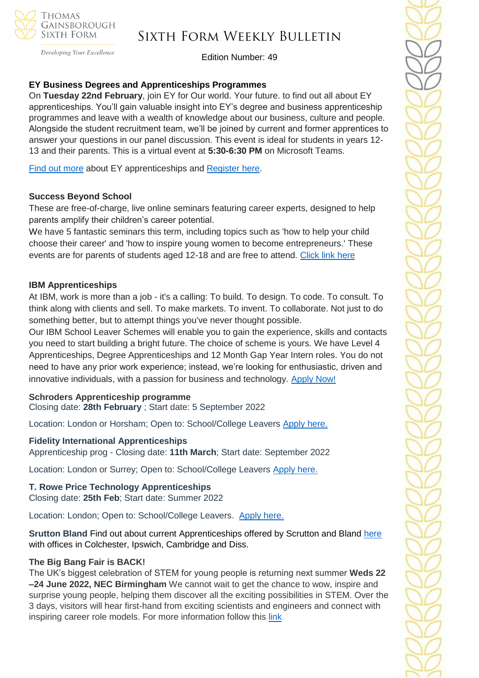

Developing Your Excellence

#### Edition Number: 49

#### **EY Business Degrees and Apprenticeships Programmes**

On **Tuesday 22nd February**, join EY for Our world. Your future. to find out all about EY apprenticeships. You'll gain valuable insight into EY's degree and business apprenticeship programmes and leave with a wealth of knowledge about our business, culture and people. Alongside the student recruitment team, we'll be joined by current and former apprentices to answer your questions in our panel discussion. This event is ideal for students in years 12- 13 and their parents. This is a virtual event at **5:30-6:30 PM** on Microsoft Teams.

[Find out more](https://www.ey.com/en_uk/careers/students/programmes/schools) about EY apprenticeships and [Register here.](https://forms.integrate-events.com/#/events/ey/327587?type=preregister&background=ffffff&font=2e2e38&page=2e2e38)

#### **Success Beyond School**

These are free-of-charge, live online seminars featuring career experts, designed to help parents amplify their children's career potential.

We have 5 fantastic seminars this term, including topics such as 'how to help your child choose their career' and 'how to inspire young women to become entrepreneurs.' These events are for parents of students aged 12-18 and are free to attend. [Click link here](https://investin.org/pages/parent-events?mc_cid=9c80b43ed8&mc_eid=1348b989f1)

#### **IBM Apprenticeships**

At IBM, work is more than a job - it's a calling: To build. To design. To code. To consult. To think along with clients and sell. To make markets. To invent. To collaborate. Not just to do something better, but to attempt things you've never thought possible.

Our IBM School Leaver Schemes will enable you to gain the experience, skills and contacts you need to start building a bright future. The choice of scheme is yours. We have Level 4 Apprenticeships, Degree Apprenticeships and 12 Month Gap Year Intern roles. You do not need to have any prior work experience; instead, we're looking for enthusiastic, driven and innovative individuals, with a passion for business and technology. [Apply Now!](https://www.ibm.com/uk-en/employment/entrylevel/?utm_source=Success+at+school+&utm_medium=Email+&utm_campaign=NAW+campaign+)

#### **Schroders Apprenticeship programme**

Closing date: **28th February** ; Start date: 5 September 2022

Location: London or Horsham; Open to: School/College Leavers [Apply here.](https://www.investment2020.org.uk/latest-jobs/?_sfm_job_employer_link=3123&utm_campaign=3085671_NAW%20DITL%2007%2002%202021&utm_medium=email&utm_source=The%20Investment%20Association%20Service%20Limited&dm_i=2MCA,1U4X3,A34A8X,6DDHX,1)

## **Fidelity International Apprenticeships** Apprenticeship prog - Closing date: **11th March**; Start date: September 2022

Location: London or Surrey; Open to: School/College Leavers [Apply here.](https://www.investment2020.org.uk/latest-jobs/?_sft_job_type=school-college-leaver&_sfm_job_employer_link=3067&utm_campaign=3085671_NAW%20DITL%2007%2002%202021&utm_medium=email&utm_source=The%20Investment%20Association%20Service%20Limited&dm_i=2MCA,1U4X3,A34A8X,6DDHX,1)

# **T. Rowe Price Technology Apprenticeships**

Closing date: **25th Feb**; Start date: Summer 2022

Location: London; Open to: School/College Leavers. [Apply here.](https://www.investment2020.org.uk/latest-jobs/?_sf_s=apprentice&_sft_job_type=school-college-leaver&_sfm_job_employer_link=3129&utm_campaign=3085671_NAW%20DITL%2007%2002%202021&utm_medium=email&utm_source=The%20Investment%20Association%20Service%20Limited&dm_i=2MCA,1U4X3,A34A8X,6DDHX,1)

#### **Srutton Bland** Find out about current Apprenticeships offered by Scrutton and Bland [here](https://www.scruttonbland.co.uk/careers/current-vacancies/apprenticeship-programme/) with offices in Colchester, Ipswich, Cambridge and Diss.

#### **The Big Bang Fair is BACK!**

The UK's biggest celebration of STEM for young people is returning next summer **Weds 22 –24 June 2022, NEC Birmingham** We cannot wait to get the chance to wow, inspire and surprise young people, helping them discover all the exciting possibilities in STEM. Over the 3 days, visitors will hear first-hand from exciting scientists and engineers and connect with inspiring career role models. For more information follow this [link](https://www.thebigbang.org.uk/)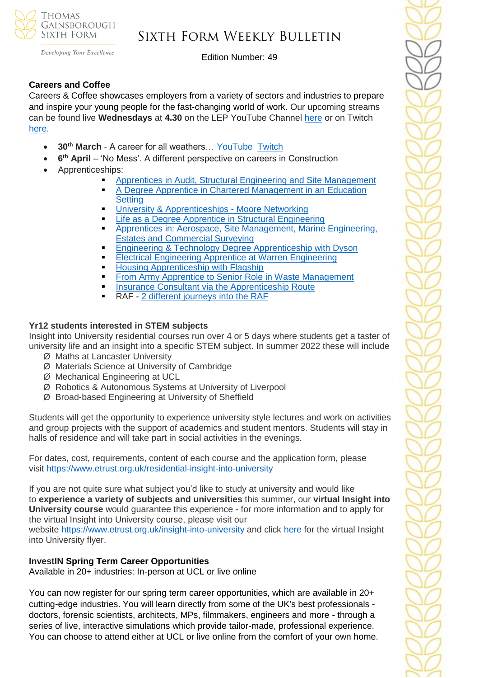

# Sixth Form Weekly Bulletin

Edition Number: 49

# **Careers and Coffee**

Careers & Coffee showcases employers from a variety of sectors and industries to prepare and inspire your young people for the fast-changing world of work. Our upcoming streams can be found live **Wednesdays** at **4.30** on the LEP YouTube Channel [here](https://emea01.safelinks.protection.outlook.com/?url=https%3A%2F%2Fwww.youtube.com%2Fchannel%2FUCMQWGt6SdsGQF-KJCq7JTwQ&data=04%7C01%7C%7C4c6c44ecc3fb4f20ff7908d9db3b3618%7C84df9e7fe9f640afb435aaaaaaaaaaaa%7C1%7C0%7C637781869767327633%7CUnknown%7CTWFpbGZsb3d8eyJWIjoiMC4wLjAwMDAiLCJQIjoiV2luMzIiLCJBTiI6Ik1haWwiLCJXVCI6Mn0%3D%7C3000&sdata=jcnjPssNA6CGryLNqRJMQzfb7UnLUOJ3WUdL%2FnQhejw%3D&reserved=0) or on Twitch [here.](https://emea01.safelinks.protection.outlook.com/?url=https%3A%2F%2Fwww.twitch.tv%2FNewAngliaEAN&data=04%7C01%7C%7C4c6c44ecc3fb4f20ff7908d9db3b3618%7C84df9e7fe9f640afb435aaaaaaaaaaaa%7C1%7C0%7C637781869767327633%7CUnknown%7CTWFpbGZsb3d8eyJWIjoiMC4wLjAwMDAiLCJQIjoiV2luMzIiLCJBTiI6Ik1haWwiLCJXVCI6Mn0%3D%7C3000&sdata=%2BC%2F2NVk7rCN9nN0gPB86AdBavn%2BdywBz%2FR1nbIo0XG8%3D&reserved=0)

- **30th March** A career for all weathers… YouTube [Twitch](https://emea01.safelinks.protection.outlook.com/?url=https%3A%2F%2Fwww.twitch.tv%2FNewAngliaEAN&data=04%7C01%7C%7C4c6c44ecc3fb4f20ff7908d9db3b3618%7C84df9e7fe9f640afb435aaaaaaaaaaaa%7C1%7C0%7C637781869767327633%7CUnknown%7CTWFpbGZsb3d8eyJWIjoiMC4wLjAwMDAiLCJQIjoiV2luMzIiLCJBTiI6Ik1haWwiLCJXVCI6Mn0%3D%7C3000&sdata=%2BC%2F2NVk7rCN9nN0gPB86AdBavn%2BdywBz%2FR1nbIo0XG8%3D&reserved=0)
- **6<sup>th</sup> April** 'No Mess'. A different perspective on careers in Construction
- Apprenticeships:
	- [Apprentices in Audit, Structural Engineering and Site Management](https://emea01.safelinks.protection.outlook.com/?url=https%3A%2F%2Fwww.youtube.com%2Fwatch%3Fv%3DbP28OaI_rog%26t%3D81s&data=04%7C01%7C%7C5109108ec3cc49416da408d9ebb534ac%7C84df9e7fe9f640afb435aaaaaaaaaaaa%7C1%7C0%7C637799986632681984%7CUnknown%7CTWFpbGZsb3d8eyJWIjoiMC4wLjAwMDAiLCJQIjoiV2luMzIiLCJBTiI6Ik1haWwiLCJXVCI6Mn0%3D%7C3000&sdata=8G1NNuPcwlxbhAXk1h1joPDO3UiT6van66qwpD8%2FoC4%3D&reserved=0)
	- A Degree Apprentice in Chartered Management in an Education **[Setting](https://emea01.safelinks.protection.outlook.com/?url=https%3A%2F%2Fwww.youtube.com%2Fwatch%3Fv%3DfQgNp9cnvsg%26t%3D531s&data=04%7C01%7C%7C5109108ec3cc49416da408d9ebb534ac%7C84df9e7fe9f640afb435aaaaaaaaaaaa%7C1%7C0%7C637799986632681984%7CUnknown%7CTWFpbGZsb3d8eyJWIjoiMC4wLjAwMDAiLCJQIjoiV2luMzIiLCJBTiI6Ik1haWwiLCJXVCI6Mn0%3D%7C3000&sdata=%2BM0O8t0PUKKlkrVXRi9QtjZpkmo2zeeXfNgMwmf%2FCnc%3D&reserved=0)**
	- **[University & Apprenticeships -](https://emea01.safelinks.protection.outlook.com/?url=https%3A%2F%2Fwww.youtube.com%2Fwatch%3Fv%3DZfxilCuhimc&data=04%7C01%7C%7C5109108ec3cc49416da408d9ebb534ac%7C84df9e7fe9f640afb435aaaaaaaaaaaa%7C1%7C0%7C637799986632681984%7CUnknown%7CTWFpbGZsb3d8eyJWIjoiMC4wLjAwMDAiLCJQIjoiV2luMzIiLCJBTiI6Ik1haWwiLCJXVCI6Mn0%3D%7C3000&sdata=L%2F30sHu2x11QFYLWN8pi2TeOCFYCNfigwlu983NCRhs%3D&reserved=0) Moore Networking**
	- [Life as a Degree Apprentice in Structural Engineering](https://emea01.safelinks.protection.outlook.com/?url=https%3A%2F%2Fwww.youtube.com%2Fwatch%3Fv%3Dptse61NxTv4&data=04%7C01%7C%7C5109108ec3cc49416da408d9ebb534ac%7C84df9e7fe9f640afb435aaaaaaaaaaaa%7C1%7C0%7C637799986632838206%7CUnknown%7CTWFpbGZsb3d8eyJWIjoiMC4wLjAwMDAiLCJQIjoiV2luMzIiLCJBTiI6Ik1haWwiLCJXVCI6Mn0%3D%7C3000&sdata=VtVFu9nMiv2JdT7sWfFLQzGzFktjw6M4iXyPGuo2Alg%3D&reserved=0)
	- Apprentices in: Aerospace, Site Management, Marine Engineering, [Estates and Commercial Surveying](https://emea01.safelinks.protection.outlook.com/?url=https%3A%2F%2Fwww.youtube.com%2Fwatch%3Fv%3DqtRlq0ADx7o%26t%3D14s&data=04%7C01%7C%7C5109108ec3cc49416da408d9ebb534ac%7C84df9e7fe9f640afb435aaaaaaaaaaaa%7C1%7C0%7C637799986632838206%7CUnknown%7CTWFpbGZsb3d8eyJWIjoiMC4wLjAwMDAiLCJQIjoiV2luMzIiLCJBTiI6Ik1haWwiLCJXVCI6Mn0%3D%7C3000&sdata=Rt20B7Q8P5%2Fwbi40nfE3BySWts1iWqQxp0oebyRDpag%3D&reserved=0)
	- **[Engineering & Technology Degree Apprenticeship with Dyson](https://emea01.safelinks.protection.outlook.com/?url=https%3A%2F%2Fwww.youtube.com%2Fwatch%3Fv%3DVtgI_wa7MGA&data=04%7C01%7C%7C5109108ec3cc49416da408d9ebb534ac%7C84df9e7fe9f640afb435aaaaaaaaaaaa%7C1%7C0%7C637799986632838206%7CUnknown%7CTWFpbGZsb3d8eyJWIjoiMC4wLjAwMDAiLCJQIjoiV2luMzIiLCJBTiI6Ik1haWwiLCJXVCI6Mn0%3D%7C3000&sdata=61EVH3iDqDdzqCKQOfA5bLklrKkfWvYy3D97DwV53mU%3D&reserved=0)**
	- [Electrical Engineering Apprentice at Warren Engineering](https://emea01.safelinks.protection.outlook.com/?url=https%3A%2F%2Fwww.youtube.com%2Fwatch%3Fv%3DIS8-9CnqSXo%26t%3D36s&data=04%7C01%7C%7C5109108ec3cc49416da408d9ebb534ac%7C84df9e7fe9f640afb435aaaaaaaaaaaa%7C1%7C0%7C637799986632838206%7CUnknown%7CTWFpbGZsb3d8eyJWIjoiMC4wLjAwMDAiLCJQIjoiV2luMzIiLCJBTiI6Ik1haWwiLCJXVCI6Mn0%3D%7C3000&sdata=cM7hsbe3eV%2BEP7xjNUcgPuTvpt3O4ntW%2BKsHUsqiOro%3D&reserved=0)
	- **[Housing Apprenticeship with Flagship](https://emea01.safelinks.protection.outlook.com/?url=https%3A%2F%2Fwww.youtube.com%2Fwatch%3Fv%3DOOMdZmDV96E%26t%3D28s&data=04%7C01%7C%7C5109108ec3cc49416da408d9ebb534ac%7C84df9e7fe9f640afb435aaaaaaaaaaaa%7C1%7C0%7C637799986632838206%7CUnknown%7CTWFpbGZsb3d8eyJWIjoiMC4wLjAwMDAiLCJQIjoiV2luMzIiLCJBTiI6Ik1haWwiLCJXVCI6Mn0%3D%7C3000&sdata=P6LHoz81YIvEyZHfyd5W%2FQ9SuCSSvCbR3%2F%2F%2Bc%2BiHlO8%3D&reserved=0)**
	- [From Army Apprentice to Senior Role in Waste Management](https://emea01.safelinks.protection.outlook.com/?url=https%3A%2F%2Fwww.youtube.com%2Fwatch%3Fv%3Dvzm3k193P9I&data=04%7C01%7C%7C5109108ec3cc49416da408d9ebb534ac%7C84df9e7fe9f640afb435aaaaaaaaaaaa%7C1%7C0%7C637799986632838206%7CUnknown%7CTWFpbGZsb3d8eyJWIjoiMC4wLjAwMDAiLCJQIjoiV2luMzIiLCJBTiI6Ik1haWwiLCJXVCI6Mn0%3D%7C3000&sdata=u9wunar3hAqC5aTfJTeVL8jFwD8oxVeVFRExKOCezbM%3D&reserved=0)
	- **[Insurance Consultant via the Apprenticeship Route](https://emea01.safelinks.protection.outlook.com/?url=https%3A%2F%2Fwww.youtube.com%2Fwatch%3Fv%3DUJcUHXG5vtg&data=04%7C01%7C%7C5109108ec3cc49416da408d9ebb534ac%7C84df9e7fe9f640afb435aaaaaaaaaaaa%7C1%7C0%7C637799986632838206%7CUnknown%7CTWFpbGZsb3d8eyJWIjoiMC4wLjAwMDAiLCJQIjoiV2luMzIiLCJBTiI6Ik1haWwiLCJXVCI6Mn0%3D%7C3000&sdata=N4Wuv30G8XH01kE4lhnmIHPw7j08tFxuXgq3Kb%2FelJE%3D&reserved=0)**
	- RAF [2 different journeys into the RAF](https://emea01.safelinks.protection.outlook.com/?url=https%3A%2F%2Fwww.youtube.com%2Fwatch%3Fv%3DyterDdCZvDc&data=04%7C01%7C%7C5109108ec3cc49416da408d9ebb534ac%7C84df9e7fe9f640afb435aaaaaaaaaaaa%7C1%7C0%7C637799986632838206%7CUnknown%7CTWFpbGZsb3d8eyJWIjoiMC4wLjAwMDAiLCJQIjoiV2luMzIiLCJBTiI6Ik1haWwiLCJXVCI6Mn0%3D%7C3000&sdata=dhuzb6CyRYL52MzK43rw60TAHKzC0ZqyZpbNuWD4A2Y%3D&reserved=0)

## **Yr12 students interested in STEM subjects**

Insight into University residential courses run over 4 or 5 days where students get a taster of university life and an insight into a specific STEM subject. In summer 2022 these will include

- Ø Maths at Lancaster University
- Ø Materials Science at University of Cambridge
- Ø Mechanical Engineering at UCL
- Ø Robotics & Autonomous Systems at University of Liverpool
- Ø Broad-based Engineering at University of Sheffield

Students will get the opportunity to experience university style lectures and work on activities and group projects with the support of academics and student mentors. Students will stay in halls of residence and will take part in social activities in the evenings.

For dates, cost, requirements, content of each course and the application form, please visit <https://www.etrust.org.uk/residential-insight-into-university>

If you are not quite sure what subject you'd like to study at university and would like to **experience a variety of subjects and universities** this summer, our **virtual Insight into University course** would guarantee this experience - for more information and to apply for the virtual Insight into University course, please visit our

website <https://www.etrust.org.uk/insight-into-university> and click [here](https://dd233f6a-c442-4437-a8e1-9e42987b6020.filesusr.com/ugd/4517c8_fcb7add322ae4a1eab2156347e1f2442.pdf) for the virtual Insight into University flyer.

## **InvestIN Spring Term Career Opportunities**

Available in 20+ industries: In-person at UCL or live online

You can now register for our spring term career opportunities, which are available in 20+ cutting-edge industries. You will learn directly from some of the UK's best professionals doctors, forensic scientists, architects, MPs, filmmakers, engineers and more - through a series of live, interactive simulations which provide tailor-made, professional experience. You can choose to attend either at UCL or live online from the comfort of your own home.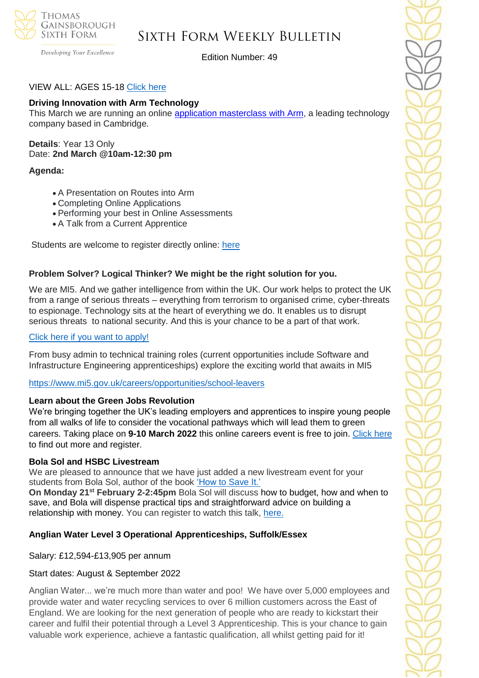

# Sixth Form Weekly Bulletin

Edition Number: 49

## VIEW ALL: AGES 15-18 [Click here](https://investin.org/pages/spring-term-career-programmes-15-18?utm_source=UK+SCHOOLS+MASTER&utm_campaign=3b31a67736-bankersschoolmar_COPY_01&utm_medium=email&utm_term=0_bfccb03bbd-3b31a67736-137697031&mc_cid=3b31a67736&mc_eid=894e4199ae)

#### **Driving Innovation with Arm Technology**

This March we are running an online application [masterclass](https://uptree.co/events/arm/1037377982/) with Arm, a leading technology company based in Cambridge.

**Details**: Year 13 Only Date: **2nd March @10am-12:30 pm**

#### **Agenda:**

- A Presentation on Routes into Arm
- Completing Online Applications
- Performing your best in Online Assessments
- A Talk from a Current Apprentice

Students are welcome to register directly online: [here](https://www.eventbrite.co.uk/e/online-technology-work-experience-tickets-269652095677)

## **Problem Solver? Logical Thinker? We might be the right solution for you.**

We are MI5. And we gather intelligence from within the UK. Our work helps to protect the UK from a range of serious threats – everything from terrorism to organised crime, cyber-threats to espionage. Technology sits at the heart of everything we do. It enables us to disrupt serious threats to national security. And this is your chance to be a part of that work.

#### [Click here if you want to apply!](https://recruitmentservices.applicationtrack.com/vx/lang-en-GB/mobile-0/appcentre-1/brand-5/user-2637141/candidate/so/pm/1/pl/4/opp/2447?adhoc_referrer=544309827)

From busy admin to technical training roles (current opportunities include Software and Infrastructure Engineering apprenticeships) explore the exciting world that awaits in MI5

#### [https://www.mi5.gov.uk/careers/opportunities/school-leavers](https://emea01.safelinks.protection.outlook.com/?url=https%3A%2F%2Fwww.mi5.gov.uk%2Fcareers%2Fopportunities%2Fschool-leavers&data=04%7C01%7C%7Cc66eba9eb3f947cbd59408d9e0d9f0c2%7C84df9e7fe9f640afb435aaaaaaaaaaaa%7C1%7C0%7C637788048944962071%7CUnknown%7CTWFpbGZsb3d8eyJWIjoiMC4wLjAwMDAiLCJQIjoiV2luMzIiLCJBTiI6Ik1haWwiLCJXVCI6Mn0%3D%7C3000&sdata=RuQR14%2FCgrNgq9sikvv3JTr7AkvZ1KyExNIWpWf5yic%3D&reserved=0)

## **Learn about the Green Jobs Revolution**

We're bringing together the UK's leading employers and apprentices to inspire young people from all walks of life to consider the vocational pathways which will lead them to green careers. Taking place on **9-10 March 2022** this online careers event is free to join. [Click here](https://www.worldskillsuk.org/careers-advice/spotlight-talks-inspiring-careers-excellence/?utm_source=MailChimp&utm_medium=Educator_email&utm_campaign=Spotlight&utm_source=WorldSkills+UK+Newsletter&utm_campaign=bb6aef8afc-EMAIL_CAMPAIGN_2019_12_10_03_37_COPY_01&utm_medium=email&utm_term=0_844496feda-bb6aef8afc-146077034) to find out more and register.

#### **Bola Sol and HSBC Livestream**

We are pleased to announce that we have just added a new livestream event for your students from Bola Sol, author of the book 'How to [Save](https://www.penguin.co.uk/books/112/1120586/how-to-save-it/9781529118810.html) It.'

**On Monday 21st February 2-2:45pm** Bola Sol will discuss how to budget, how and when to save, and Bola will dispense practical tips and straightforward advice on building a relationship with money. You can register to watch this talk, [here.](https://forms.office.com/pages/responsepage.aspx?id=HFqhLo7yMEahv9dFTLRO65fTtVvpxU5Juw5B-0Ohp8RUNENVRVQ0WjBVT1VISDAzRUsxWDlIQTcxUS4u&web=1&wdLOR=c0499B258-364C-4E4A-8679-4BD2FCCB3D31)

## **Anglian Water Level 3 Operational Apprenticeships, Suffolk/Essex**

Salary: £12,594-£13,905 per annum

#### Start dates: August & September 2022

Anglian Water... we're much more than water and poo! We have over 5,000 employees and provide water and water recycling services to over 6 million customers across the East of England. We are looking for the next generation of people who are ready to kickstart their career and fulfil their potential through a Level 3 Apprenticeship. This is your chance to gain valuable work experience, achieve a fantastic qualification, all whilst getting paid for it!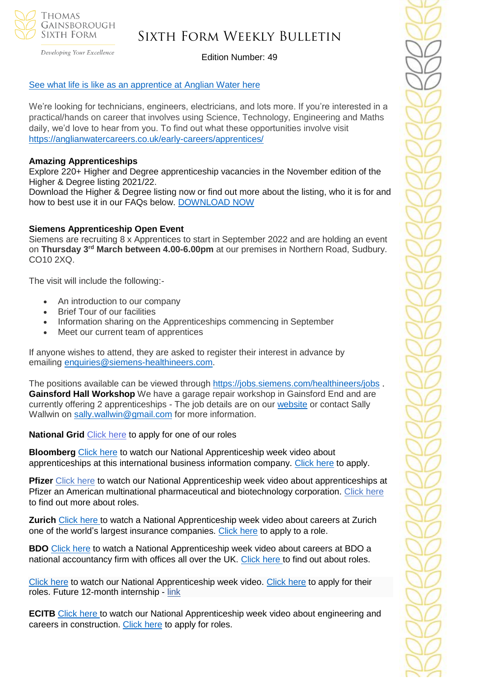

Developing Your Excellence

Edition Number: 49

### [See what life is like as an apprentice at Anglian](https://youtu.be/ocHab1ZNOjA) Water here

We're looking for technicians, engineers, electricians, and lots more. If you're interested in a practical/hands on career that involves using Science, Technology, Engineering and Maths daily, we'd love to hear from you. To find out what these opportunities involve visit <https://anglianwatercareers.co.uk/early-careers/apprentices/>

#### **Amazing Apprenticeships**

Explore 220+ Higher and Degree apprenticeship vacancies in the November edition of the Higher & Degree listing 2021/22.

Download the Higher & Degree listing now or find out more about the listing, who it is for and how to best use it in our FAQs below. [DOWNLOAD NOW](https://amazingapprenticeships.com/resource/higher-and-degree-listing/)

#### **Siemens Apprenticeship Open Event**

Siemens are recruiting 8 x Apprentices to start in September 2022 and are holding an event on **Thursday 3rd March between 4.00-6.00pm** at our premises in Northern Road, Sudbury. CO10 2XQ.

The visit will include the following:-

- An introduction to our company
- Brief Tour of our facilities
- Information sharing on the Apprenticeships commencing in September
- Meet our current team of apprentices

If anyone wishes to attend, they are asked to register their interest in advance by emailing [enquiries@siemens-healthineers.com.](mailto:enquiries@siemens-healthineers.com)

The positions available can be viewed through <https://jobs.siemens.com/healthineers/jobs> . **Gainsford Hall Workshop** We have a garage repair workshop in Gainsford End and are currently offering 2 apprenticeships - The job details are on our [website](https://www.gainsfordhallworkshop.co.uk/vacancies/) or contact Sally Wallwin on [sally.wallwin@gmail.com](mailto:sally.wallwin@gmail.com) for more information.

**National Grid** [Click here](https://www.nationalapprenticeshipweek.co.uk/company/national-grid/) to apply for one of our roles

**Bloomberg** [Click here](https://careermap.co.uk/video/naw2022-bloomberg-apprenticeships-at-bloomberg-how-to-submit-a-winning-application/) to watch our National Apprenticeship week video about apprenticeships at this international business information company. [Click here](https://www.nationalapprenticeshipweek.co.uk/company/bloomberg/) to apply.

**Pfizer** [Click here](https://careermap.co.uk/video/naw2022-pfizer-join-our-apprenticeship-programme-and-make-a-difference/) to watch our National Apprenticeship week video about apprenticeships at Pfizer an American multinational pharmaceutical and biotechnology corporation. [Click here](https://www.nationalapprenticeshipweek.co.uk/company/pfizer/) to find out more about roles.

**Zurich** [Click here t](https://careermap.co.uk/video/naw2022-zurich-apprenticeship-insight-session/)o watch a National Apprenticeship week video about careers at Zurich one of the world's largest insurance companies. [Click here](https://www.nationalapprenticeshipweek.co.uk/company/zurich/) to apply to a role.

**BDO** [Click here](https://careermap.co.uk/video/naw2022-bdo-unravelling-the-mysteries-of-accountancy-as-a-profession/) to watch a National Apprenticeship week video about careers at BDO a national accountancy firm with offices all over the UK. [Click here t](https://www.bdoearlyincareer.co.uk/apprenticeship/?utm_source=CareerMap&utm_medium=Profile&utm_campaign=33_3951_EarlyCareers21-22&utm_term=1x1&utm_content=SchoolLeaver_EmployerProfile)o find out about roles.

[Click here](https://careermap.co.uk/video/naw2022-ibm-discover-apprenticeships-at-ibm/) to watch our National Apprenticeship week video. [Click here](https://www.nationalapprenticeshipweek.co.uk/company/ibm/) to apply for their roles. Future 12-month internship - [link](https://successatschool.us3.list-manage.com/track/click?u=2c038531b25876a2c7c9cf8b1&id=a77a2d64dd&e=530f418f3c)

**ECITB** [Click here t](https://careermap.co.uk/video/naw2022-ecitb-careers-in-engineering-construction-engineering-the-future/)o watch our National Apprenticeship week video about engineering and careers in construction. [Click here](https://www.nationalapprenticeshipweek.co.uk/company/ecitb/) to apply for roles.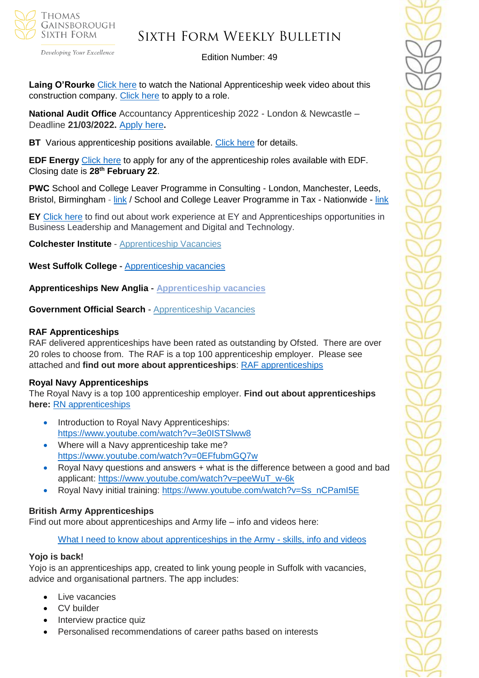

Developing Your Excellence

#### Edition Number: 49

**Laing O'Rourke** [Click here](https://careermap.co.uk/video/naw2022-laing-orourke-the-power-of-experience/) to watch the National Apprenticeship week video about this construction company. [Click here](https://www.nationalapprenticeshipweek.co.uk/company/laing-orourke/) to apply to a role.

**National Audit Office** Accountancy Apprenticeship 2022 - London & Newcastle – Deadline **21/03/2022.** [Apply here](https://successatschool.org/jobandcoursedetail/744/NAO-Accountancy-Apprenticeship-2022?goal=0_65c6d67e71-b62ae74a76-212136547&mc_cid=b62ae74a76&mc_eid=530f418f3c)**.**

**BT** Various apprenticeship positions available. [Click here](https://successatschool.org/jobscourses?empUniId=368&goal=0_65c6d67e71-b62ae74a76-212136547&mc_cid=b62ae74a76&mc_eid=530f418f3c) for details.

**EDF Energy** [Click here](https://www.edfenergy.com/careers/apprenticeships) to apply for any of the apprenticeship roles available with EDF. Closing date is **28th February 22**.

**PWC** School and College Leaver Programme in Consulting - London, Manchester, Leeds, Bristol, Birmingham - [link](https://emea01.safelinks.protection.outlook.com/?url=https%3A%2F%2Fsuccessatschool.us3.list-manage.com%2Ftrack%2Fclick%3Fu%3D2c038531b25876a2c7c9cf8b1%26id%3Dd7fb685283%26e%3D530f418f3c&data=04%7C01%7C%7C945e830acdbc408b2c5908d9ef9bf91d%7C84df9e7fe9f640afb435aaaaaaaaaaaa%7C1%7C0%7C637804275456490872%7CUnknown%7CTWFpbGZsb3d8eyJWIjoiMC4wLjAwMDAiLCJQIjoiV2luMzIiLCJBTiI6Ik1haWwiLCJXVCI6Mn0%3D%7C3000&sdata=gRswlE1zBGH%2B8Jf5qjxjt%2FcJg3R3aW9xfEtIvqfNwqc%3D&reserved=0) / School and College Leaver Programme in Tax - Nationwide - link

**EY** [Click here](https://www.ey.com/en_uk/careers/students/programmes/schools) to find out about work experience at EY and Apprenticeships opportunities in Business Leadership and Management and Digital and Technology.

**Colchester Institute** - Apprenticeship Vacancies

**West Suffolk College -** [Apprenticeship vacancies](https://www.wsc.ac.uk/find-a-course/apprenticeships)

**Apprenticeships New Anglia - [Apprenticeship](https://www.apprenticeshipsnewanglia.co.uk/) vacancies**

**Government Official Search** - [Apprenticeship Vacancies](https://www.gov.uk/apply-apprenticeship)

#### **RAF Apprenticeships**

RAF delivered apprenticeships have been rated as outstanding by Ofsted. There are over 20 roles to choose from. The RAF is a top 100 apprenticeship employer. Please see attached and **find out more about apprenticeships**: [RAF apprenticeships](https://emea01.safelinks.protection.outlook.com/?url=https%3A%2F%2Fwww.raf.mod.uk%2Frecruitment%2Fapprenticeships%3Fgclid%3DEAIaIQobChMI1cvZo8PA9QIVbY1oCR3MZAJNEAAYASABEgI5UfD_BwE%26gclsrc%3Daw.ds&data=04%7C01%7C%7C5109108ec3cc49416da408d9ebb534ac%7C84df9e7fe9f640afb435aaaaaaaaaaaa%7C1%7C0%7C637799986632838206%7CUnknown%7CTWFpbGZsb3d8eyJWIjoiMC4wLjAwMDAiLCJQIjoiV2luMzIiLCJBTiI6Ik1haWwiLCJXVCI6Mn0%3D%7C3000&sdata=ExujmUorbCroA4%2Frvg%2FHpfc6sCVupSMvUGFLEGnaUR0%3D&reserved=0)

#### **Royal Navy Apprenticeships**

The Royal Navy is a top 100 apprenticeship employer. **Find out about apprenticeships here:** [RN apprenticeships](https://emea01.safelinks.protection.outlook.com/?url=https%3A%2F%2Fwww.royalnavy.mod.uk%2Fcareers%2Flevels-of-entry%2Fapprenticeships%3Fgclid%3DEAIaIQobChMIweOegL_A9QIVEbLVCh0cwgsZEAAYASAAEgKRdPD_BwE%26gclsrc%3Daw.ds&data=04%7C01%7C%7C5109108ec3cc49416da408d9ebb534ac%7C84df9e7fe9f640afb435aaaaaaaaaaaa%7C1%7C0%7C637799986632838206%7CUnknown%7CTWFpbGZsb3d8eyJWIjoiMC4wLjAwMDAiLCJQIjoiV2luMzIiLCJBTiI6Ik1haWwiLCJXVCI6Mn0%3D%7C3000&sdata=3iUqBAmY7e2FIP9AZdHQDXerElShM9IMu8nrXRs25rY%3D&reserved=0)

- Introduction to Royal Navy Apprenticeships: [https://www.youtube.com/watch?v=3e0ISTSlww8](https://emea01.safelinks.protection.outlook.com/?url=https%3A%2F%2Fwww.youtube.com%2Fwatch%3Fv%3D3e0ISTSlww8&data=04%7C01%7C%7C5109108ec3cc49416da408d9ebb534ac%7C84df9e7fe9f640afb435aaaaaaaaaaaa%7C1%7C0%7C637799986632838206%7CUnknown%7CTWFpbGZsb3d8eyJWIjoiMC4wLjAwMDAiLCJQIjoiV2luMzIiLCJBTiI6Ik1haWwiLCJXVCI6Mn0%3D%7C3000&sdata=bObS9LxuGK0QUPjFipc7TpgbhS%2FBOj3jh2A0zMqcpqc%3D&reserved=0)
- Where will a Navy apprenticeship take me? [https://www.youtube.com/watch?v=0EFfubmGQ7w](https://emea01.safelinks.protection.outlook.com/?url=https%3A%2F%2Fwww.youtube.com%2Fwatch%3Fv%3D0EFfubmGQ7w&data=04%7C01%7C%7C5109108ec3cc49416da408d9ebb534ac%7C84df9e7fe9f640afb435aaaaaaaaaaaa%7C1%7C0%7C637799986632838206%7CUnknown%7CTWFpbGZsb3d8eyJWIjoiMC4wLjAwMDAiLCJQIjoiV2luMzIiLCJBTiI6Ik1haWwiLCJXVCI6Mn0%3D%7C3000&sdata=unRpMJbduJcQdr3btz8biYwvP59f4daMiPwJ%2Bi5f1l4%3D&reserved=0)
- Royal Navy questions and answers + what is the difference between a good and bad applicant: [https://www.youtube.com/watch?v=peeWuT\\_w-6k](https://emea01.safelinks.protection.outlook.com/?url=https%3A%2F%2Fwww.youtube.com%2Fwatch%3Fv%3DpeeWuT_w-6k&data=04%7C01%7C%7C5109108ec3cc49416da408d9ebb534ac%7C84df9e7fe9f640afb435aaaaaaaaaaaa%7C1%7C0%7C637799986632838206%7CUnknown%7CTWFpbGZsb3d8eyJWIjoiMC4wLjAwMDAiLCJQIjoiV2luMzIiLCJBTiI6Ik1haWwiLCJXVCI6Mn0%3D%7C3000&sdata=2CZHRBVpKndnzKkDF6KbQ8wW5Z6Iu%2BZZ8Fd1oGR8GtI%3D&reserved=0)
- Royal Navy initial training: [https://www.youtube.com/watch?v=Ss\\_nCPamI5E](https://emea01.safelinks.protection.outlook.com/?url=https%3A%2F%2Fwww.youtube.com%2Fwatch%3Fv%3DSs_nCPamI5E&data=04%7C01%7C%7C5109108ec3cc49416da408d9ebb534ac%7C84df9e7fe9f640afb435aaaaaaaaaaaa%7C1%7C0%7C637799986632838206%7CUnknown%7CTWFpbGZsb3d8eyJWIjoiMC4wLjAwMDAiLCJQIjoiV2luMzIiLCJBTiI6Ik1haWwiLCJXVCI6Mn0%3D%7C3000&sdata=AjVp0aAK2oQdjC%2FQkMw1gViAgihXQxUPXqu65KkTD%2Bg%3D&reserved=0)

#### **British Army Apprenticeships**

Find out more about apprenticeships and Army life – info and videos here:

[What I need to know about apprenticeships in the Army -](https://emea01.safelinks.protection.outlook.com/?url=https%3A%2F%2Fapply.army.mod.uk%2Fwhat-we-offer%2Fregular-soldier%2Fapprenticeships-and-skills%3Fgclid%3DEAIaIQobChMI24eTtcTA9QIV5ZBoCR224Q3kEAAYASAAEgJOw_D_BwE%26cid%3Dsemp8317730851%26ef_id%3DEAIaIQobChMI24eTtcTA9QIV5ZBoCR224Q3kEAAYASAAEgJOw_D_BwE%253aG%253as%26s_kwcid%3DAL!8141!3!356143047273!e!!g!!army%2Bapprenticeships%26gclsrc%3Daw.ds&data=04%7C01%7C%7C5109108ec3cc49416da408d9ebb534ac%7C84df9e7fe9f640afb435aaaaaaaaaaaa%7C1%7C0%7C637799986632838206%7CUnknown%7CTWFpbGZsb3d8eyJWIjoiMC4wLjAwMDAiLCJQIjoiV2luMzIiLCJBTiI6Ik1haWwiLCJXVCI6Mn0%3D%7C3000&sdata=ZqD8QVwxA%2BUaYNDhUEGh51KEidvcgWyumZ8S4oiCHmU%3D&reserved=0) skills, info and videos

#### **Yojo is back!**

Yojo is an apprenticeships app, created to link young people in Suffolk with vacancies, advice and organisational partners. The app includes:

- Live vacancies
- CV builder
- Interview practice quiz
- Personalised recommendations of career paths based on interests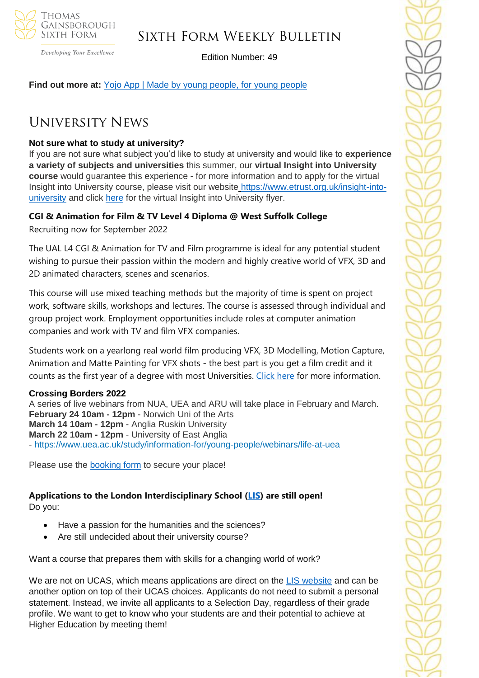

# Sixth Form Weekly Bulletin

Edition Number: 49

**Find out more at:** [Yojo App | Made by young people, for young people](https://emea01.safelinks.protection.outlook.com/?url=https%3A%2F%2Fyojoapp.co.uk%2F&data=04%7C01%7C%7C4c6c44ecc3fb4f20ff7908d9db3b3618%7C84df9e7fe9f640afb435aaaaaaaaaaaa%7C1%7C0%7C637781869767483855%7CUnknown%7CTWFpbGZsb3d8eyJWIjoiMC4wLjAwMDAiLCJQIjoiV2luMzIiLCJBTiI6Ik1haWwiLCJXVCI6Mn0%3D%7C3000&sdata=9WtYUB305aPkl6q46VQFnWxhGcaNixIyQ7zb9qHytQc%3D&reserved=0)

# University News

## **Not sure what to study at university?**

If you are not sure what subject you'd like to study at university and would like to **experience a variety of subjects and universities** this summer, our **virtual Insight into University course** would guarantee this experience - for more information and to apply for the virtual Insight into University course, please visit our website [https://www.etrust.org.uk/insight-into](https://www.etrust.org.uk/insight-into-university)[university](https://www.etrust.org.uk/insight-into-university) and click [here](https://dd233f6a-c442-4437-a8e1-9e42987b6020.filesusr.com/ugd/4517c8_fcb7add322ae4a1eab2156347e1f2442.pdf) for the virtual Insight into University flyer.

**CGI & Animation for Film & TV Level 4 Diploma @ West Suffolk College**

Recruiting now for September 2022

The UAL L4 CGI & Animation for TV and Film programme is ideal for any potential student wishing to pursue their passion within the modern and highly creative world of VFX, 3D and 2D animated characters, scenes and scenarios.

This course will use mixed teaching methods but the majority of time is spent on project work, software skills, workshops and lectures. The course is assessed through individual and group project work. Employment opportunities include roles at computer animation companies and work with TV and film VFX companies.

Students work on a yearlong real world film producing VFX, 3D Modelling, Motion Capture, Animation and Matte Painting for VFX shots - the best part is you get a film credit and it counts as the first year of a degree with most Universities. [Click here](https://www.wsc.ac.uk/courses/level-4-professional-diplomas/754-level-4/9768-cgi-and-animation-for-tv-and-film-diploma-level-4-22vf394099) for more information.

## **Crossing Borders 2022**

A series of live webinars from NUA, UEA and ARU will take place in February and March. **February 24 10am - 12pm** - Norwich Uni of the Arts **March 14 10am - 12pm** - Anglia Ruskin University **March 22 10am - 12pm** - University of East Anglia - <https://www.uea.ac.uk/study/information-for/young-people/webinars/life-at-uea>

Please use the [booking](https://forms.office.com/r/Ps76841MHU) form to secure your place!

# **Applications to the London Interdisciplinary School [\(LIS\)](https://emea01.safelinks.protection.outlook.com/?url=https%3A%2F%2Fschools.tecl.co.uk%2Feducationcompany5lz%2Flz.aspx%3Fp1%3DMuzDU3NjA0MjA1Uzk0NzE6NkYwQjdEMTg3QzdEMTdCODZFRjcxMENBNDUyNEYwN0M%253d-%26CC%3D%26w%3D5511&data=04%7C01%7C%7C39fcd5037de64b1f134108d9db3b46e6%7C84df9e7fe9f640afb435aaaaaaaaaaaa%7C1%7C0%7C637781869903019097%7CUnknown%7CTWFpbGZsb3d8eyJWIjoiMC4wLjAwMDAiLCJQIjoiV2luMzIiLCJBTiI6Ik1haWwiLCJXVCI6Mn0%3D%7C3000&sdata=pgQvu53gpi%2Fe%2F8%2BCNPs9L2gikEtVgERhZ9O0%2FbkIqeQ%3D&reserved=0) are still open!** Do you:

- Have a passion for the humanities and the sciences?
- Are still undecided about their university course?

Want a course that prepares them with skills for a changing world of work?

We are not on UCAS, which means applications are direct on the [LIS website](https://emea01.safelinks.protection.outlook.com/?url=https%3A%2F%2Fschools.tecl.co.uk%2Feducationcompany5lz%2Flz.aspx%3Fp1%3DMuzDU3NjA0MjA1Uzk0NzE6NkYwQjdEMTg3QzdEMTdCODZFRjcxMENBNDUyNEYwN0M%253d-%26CC%3D%26w%3D8515&data=04%7C01%7C%7C39fcd5037de64b1f134108d9db3b46e6%7C84df9e7fe9f640afb435aaaaaaaaaaaa%7C1%7C0%7C637781869903019097%7CUnknown%7CTWFpbGZsb3d8eyJWIjoiMC4wLjAwMDAiLCJQIjoiV2luMzIiLCJBTiI6Ik1haWwiLCJXVCI6Mn0%3D%7C3000&sdata=8Hlbt%2BgSl0U8BdHh3CK1iY0dZPD2WXrFZ8gatSx1i2Q%3D&reserved=0) and can be another option on top of their UCAS choices. Applicants do not need to submit a personal statement. Instead, we invite all applicants to a Selection Day, regardless of their grade profile. We want to get to know who your students are and their potential to achieve at Higher Education by meeting them!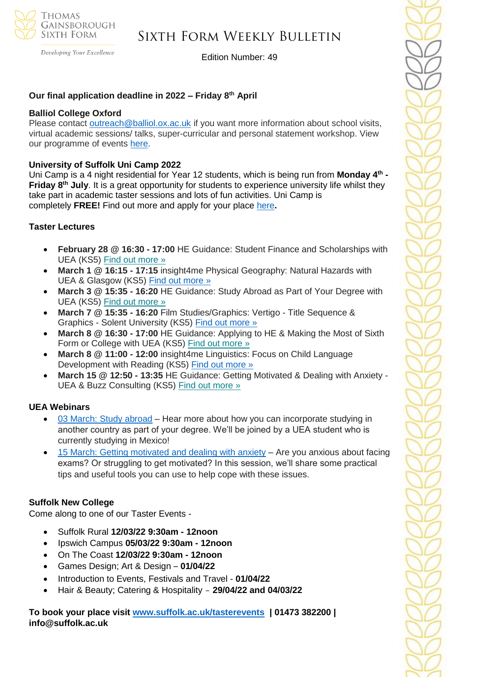

# Sixth Form Weekly Bulletin

Edition Number: 49

## **Our final application deadline in 2022 – Friday 8th April**

#### **Balliol College Oxford**

Please contact [outreach@balliol.ox.ac.uk](mailto:outreach@balliol.ox.ac.uk) if you want more information about school visits, virtual academic sessions/ talks, super-curricular and personal statement workshop. View our programme of events [here.](https://www.ox.ac.uk/admissions/undergraduate/increasing-access/events-calendar)

#### **University of Suffolk Uni Camp 2022**

Uni Camp is a 4 night residential for Year 12 students, which is being run from **Monday 4th - Friday 8 th July**. It is a great opportunity for students to experience university life whilst they take part in academic taster sessions and lots of fun activities. Uni Camp is completely **FREE!** Find out more and apply for your place [here](https://www.uos.ac.uk/content/uni-camp-2022)**.** 

#### **Taster Lectures**

- **February 28 @ 16:30 - 17:00** HE Guidance: Student Finance and Scholarships with UEA (KS5) Find out [more](https://channeltalent.us10.list-manage.com/track/click?u=145837fa6843e0c349598322a&id=8a66d43d48&e=155232616c) »
- **March 1 @ 16:15 - 17:15** insight4me Physical Geography: Natural Hazards with UEA & Glasgow (KS5) [Find out more »](https://emea01.safelinks.protection.outlook.com/?url=https%3A%2F%2Fchanneltalent.us10.list-manage.com%2Ftrack%2Fclick%3Fu%3D145837fa6843e0c349598322a%26id%3D7be4939f4d%26e%3Dba0e9a2959&data=04%7C01%7C%7Ca426435c128b4d1e8eaa08d9ebaf60dd%7C84df9e7fe9f640afb435aaaaaaaaaaaa%7C1%7C0%7C637799960760265646%7CUnknown%7CTWFpbGZsb3d8eyJWIjoiMC4wLjAwMDAiLCJQIjoiV2luMzIiLCJBTiI6Ik1haWwiLCJXVCI6Mn0%3D%7C3000&sdata=Dav7XfbniBgPrLGsO6sLJN9s8Huy1SH6etydegNzSnM%3D&reserved=0)
- **March 3 @ 15:35 - 16:20** HE Guidance: Study Abroad as Part of Your Degree with UEA (KS5) Find out [more](https://channeltalent.us10.list-manage.com/track/click?u=145837fa6843e0c349598322a&id=e5493d6bde&e=155232616c) »
- **March 7 @ 15:35 - 16:20** Film Studies/Graphics: Vertigo Title Sequence & Graphics - Solent University (KS5) [Find out more »](https://emea01.safelinks.protection.outlook.com/?url=https%3A%2F%2Fchanneltalent.us10.list-manage.com%2Ftrack%2Fclick%3Fu%3D145837fa6843e0c349598322a%26id%3D1f7ca06635%26e%3Dba0e9a2959&data=04%7C01%7C%7Ca6d2637371c74bb54e3a08d9ebbb190c%7C84df9e7fe9f640afb435aaaaaaaaaaaa%7C1%7C0%7C637800011102113554%7CUnknown%7CTWFpbGZsb3d8eyJWIjoiMC4wLjAwMDAiLCJQIjoiV2luMzIiLCJBTiI6Ik1haWwiLCJXVCI6Mn0%3D%7C3000&sdata=qbnM65V8Dku9kakcaxkE7wzvuybP%2FIL2MgMLF%2B6dky4%3D&reserved=0)
- **March 8 @ 16:30 - 17:00** HE Guidance: Applying to HE & Making the Most of Sixth Form or College with UEA (KS5) Find out [more](https://channeltalent.us10.list-manage.com/track/click?u=145837fa6843e0c349598322a&id=422871e59f&e=155232616c) »
- **March 8 @ 11:00 - 12:00** insight4me Linguistics: Focus on Child Language Development with Reading (KS5) [Find out more »](https://emea01.safelinks.protection.outlook.com/?url=https%3A%2F%2Fchanneltalent.us10.list-manage.com%2Ftrack%2Fclick%3Fu%3D145837fa6843e0c349598322a%26id%3De9685e096e%26e%3D155232616c&data=04%7C01%7C%7C480b1571c5d44caf8ef208d9eba89a6d%7C84df9e7fe9f640afb435aaaaaaaaaaaa%7C1%7C0%7C637799931648476298%7CUnknown%7CTWFpbGZsb3d8eyJWIjoiMC4wLjAwMDAiLCJQIjoiV2luMzIiLCJBTiI6Ik1haWwiLCJXVCI6Mn0%3D%7C3000&sdata=WTgAdrQkX1lGIoupJ3C9raoBowEDIo0pglPmCG5H8fM%3D&reserved=0)
- **March 15 @ 12:50 - 13:35** HE Guidance: Getting Motivated & Dealing with Anxiety UEA & Buzz Consulting (KS5) Find out [more](https://channeltalent.us10.list-manage.com/track/click?u=145837fa6843e0c349598322a&id=63dd3662e5&e=155232616c) »

#### **UEA Webinars**

- [03 March: Study abroad](https://emea01.safelinks.protection.outlook.com/?url=https%3A%2F%2Fwww.channeltalent.co.uk%2Fevent%2Fhe-guidance-study-abroad-as-part-of-your-degree-with-annie-kay-current-students-from-university-of-east-anglia%2F&data=04%7C01%7C%7C83f95f83e5d24573615008d9e4bd2998%7C84df9e7fe9f640afb435aaaaaaaaaaaa%7C1%7C0%7C637792323367442316%7CUnknown%7CTWFpbGZsb3d8eyJWIjoiMC4wLjAwMDAiLCJQIjoiV2luMzIiLCJBTiI6Ik1haWwiLCJXVCI6Mn0%3D%7C3000&sdata=B77gR9qKdDtIVbWlJ6uHlOw6S%2BuHrZ2Bh%2F7zWOC3IWk%3D&reserved=0) Hear more about how you can incorporate studying in another country as part of your degree. We'll be joined by a UEA student who is currently studying in Mexico!
- [15 March: Getting motivated and dealing with anxiety](https://emea01.safelinks.protection.outlook.com/?url=https%3A%2F%2Fwww.channeltalent.co.uk%2Fevent%2Fhe-guidance-life-skills-for-getting-motivated-dealing-with-anxiety-with-university-of-east-anglia-dr-dominique-thompson-from-buzz-consulting-2%2F&data=04%7C01%7C%7C83f95f83e5d24573615008d9e4bd2998%7C84df9e7fe9f640afb435aaaaaaaaaaaa%7C1%7C0%7C637792323367442316%7CUnknown%7CTWFpbGZsb3d8eyJWIjoiMC4wLjAwMDAiLCJQIjoiV2luMzIiLCJBTiI6Ik1haWwiLCJXVCI6Mn0%3D%7C3000&sdata=LimvKahfg1TmoNHNNcIpJ%2BZOLj5QPSGFj2q4Ss0y2oA%3D&reserved=0) Are you anxious about facing exams? Or struggling to get motivated? In this session, we'll share some practical tips and useful tools you can use to help cope with these issues.

#### **Suffolk New College**

Come along to one of our Taster Events -

- Suffolk Rural **12/03/22 9:30am - 12noon**
- Ipswich Campus **05/03/22 9:30am - 12noon**
- On The Coast **12/03/22 9:30am - 12noon**
- Games Design; Art & Design **01/04/22**
- Introduction to Events, Festivals and Travel **01/04/22**
- Hair & Beauty; Catering & Hospitality **29/04/22 and 04/03/22**

**To book your place visit [www.suffolk.ac.uk/tasterevents](http://www.suffolk.ac.uk/tasterevents) | 01473 382200 | info@suffolk.ac.uk**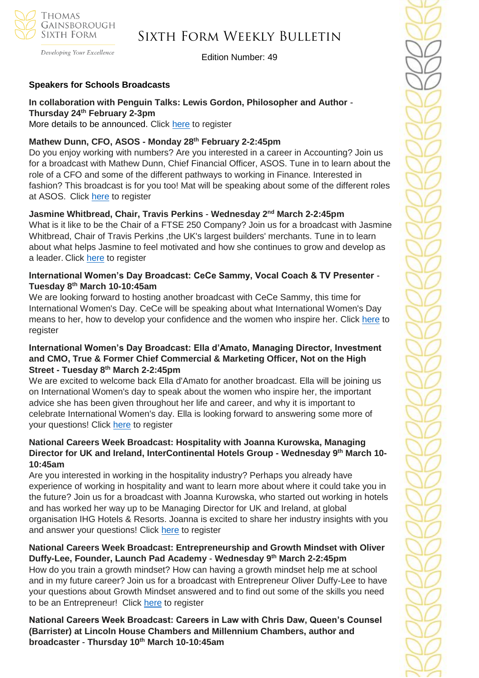

Developing Your Excellence

Edition Number: 49

### **Speakers for Schools Broadcasts**

**In collaboration with Penguin Talks: Lewis Gordon, Philosopher and Author** - **Thursday 24th February 2-3pm**

More details to be announced. Click [here](https://emea01.safelinks.protection.outlook.com/?url=https%3A%2F%2Fforms.office.com%2Fr%2FyA4RN8tidB&data=04%7C01%7C%7Ccc49b0041dfb426e905a08d9e6480081%7C84df9e7fe9f640afb435aaaaaaaaaaaa%7C1%7C0%7C637794019213869437%7CUnknown%7CTWFpbGZsb3d8eyJWIjoiMC4wLjAwMDAiLCJQIjoiV2luMzIiLCJBTiI6Ik1haWwiLCJXVCI6Mn0%3D%7C3000&sdata=ZmGcIgzaGT4gaPRzICQjAhApfkIw31M1jyBS10n6e3U%3D&reserved=0) to register

## **Mathew Dunn, CFO, ASOS - Monday 28th February 2-2:45pm**

Do you enjoy working with numbers? Are you interested in a career in Accounting? Join us for a broadcast with Mathew Dunn, Chief Financial Officer, ASOS. Tune in to learn about the role of a CFO and some of the different pathways to working in Finance. Interested in fashion? This broadcast is for you too! Mat will be speaking about some of the different roles at ASOS. Click [here](https://emea01.safelinks.protection.outlook.com/?url=https%3A%2F%2Fforms.office.com%2Fr%2Fd2pv3zEf6W&data=04%7C01%7C%7Ccc49b0041dfb426e905a08d9e6480081%7C84df9e7fe9f640afb435aaaaaaaaaaaa%7C1%7C0%7C637794019213869437%7CUnknown%7CTWFpbGZsb3d8eyJWIjoiMC4wLjAwMDAiLCJQIjoiV2luMzIiLCJBTiI6Ik1haWwiLCJXVCI6Mn0%3D%7C3000&sdata=LGgtQbyQziLicrIdBxeR0vb%2FZlyVCkXnsR1o2vi3x0o%3D&reserved=0) to register

## **Jasmine Whitbread, Chair, Travis Perkins** - **Wednesday 2nd March 2-2:45pm**

What is it like to be the Chair of a FTSE 250 Company? Join us for a broadcast with Jasmine Whitbread, Chair of Travis Perkins ,the UK's largest builders' merchants. Tune in to learn about what helps Jasmine to feel motivated and how she continues to grow and develop as a leader. Click [here](https://emea01.safelinks.protection.outlook.com/?url=https%3A%2F%2Fforms.office.com%2Fr%2F7QNFvvdea7&data=04%7C01%7C%7Ccc49b0041dfb426e905a08d9e6480081%7C84df9e7fe9f640afb435aaaaaaaaaaaa%7C1%7C0%7C637794019213869437%7CUnknown%7CTWFpbGZsb3d8eyJWIjoiMC4wLjAwMDAiLCJQIjoiV2luMzIiLCJBTiI6Ik1haWwiLCJXVCI6Mn0%3D%7C3000&sdata=kQgsvsTg9i%2FjOVkQ4Bg0zvAgtkx0w44q54WyOxyvfmc%3D&reserved=0) to register

### **International Women's Day Broadcast: CeCe Sammy, Vocal Coach & TV Presenter** - **Tuesday 8th March 10-10:45am**

We are looking forward to hosting another broadcast with CeCe Sammy, this time for International Women's Day. CeCe will be speaking about what International Women's Day means to her, how to develop your confidence and the women who inspire her. Click [here](https://emea01.safelinks.protection.outlook.com/?url=https%3A%2F%2Fforms.office.com%2Fr%2FYqfFapgCyZ&data=04%7C01%7C%7Ccc49b0041dfb426e905a08d9e6480081%7C84df9e7fe9f640afb435aaaaaaaaaaaa%7C1%7C0%7C637794019213869437%7CUnknown%7CTWFpbGZsb3d8eyJWIjoiMC4wLjAwMDAiLCJQIjoiV2luMzIiLCJBTiI6Ik1haWwiLCJXVCI6Mn0%3D%7C3000&sdata=sTyERrJthQBQB6Tg778klpM65TbUA7peM%2BXVXa9SaS4%3D&reserved=0) to register

## **International Women's Day Broadcast: Ella d'Amato, Managing Director, Investment and CMO, True & Former Chief Commercial & Marketing Officer, Not on the High Street - Tuesday 8th March 2-2:45pm**

We are excited to welcome back Ella d'Amato for another broadcast. Ella will be joining us on International Women's day to speak about the women who inspire her, the important advice she has been given throughout her life and career, and why it is important to celebrate International Women's day. Ella is looking forward to answering some more of your questions! Click [here](https://emea01.safelinks.protection.outlook.com/?url=https%3A%2F%2Fforms.office.com%2Fr%2FWf5D1mXAh8&data=04%7C01%7C%7Ccc49b0041dfb426e905a08d9e6480081%7C84df9e7fe9f640afb435aaaaaaaaaaaa%7C1%7C0%7C637794019213869437%7CUnknown%7CTWFpbGZsb3d8eyJWIjoiMC4wLjAwMDAiLCJQIjoiV2luMzIiLCJBTiI6Ik1haWwiLCJXVCI6Mn0%3D%7C3000&sdata=g6nyzerKjTx6S1vKK%2BOYPU5Gu24c1YBGy5uCjJTmx1o%3D&reserved=0) to register

### **National Careers Week Broadcast: Hospitality with Joanna Kurowska, Managing Director for UK and Ireland, InterContinental Hotels Group - Wednesday 9th March 10- 10:45am**

Are you interested in working in the hospitality industry? Perhaps you already have experience of working in hospitality and want to learn more about where it could take you in the future? Join us for a broadcast with Joanna Kurowska, who started out working in hotels and has worked her way up to be Managing Director for UK and Ireland, at global organisation IHG Hotels & Resorts. Joanna is excited to share her industry insights with you and answer your questions! Click [here](https://emea01.safelinks.protection.outlook.com/?url=https%3A%2F%2Fforms.office.com%2Fr%2FUxa2KMdLGk&data=04%7C01%7C%7Ccc49b0041dfb426e905a08d9e6480081%7C84df9e7fe9f640afb435aaaaaaaaaaaa%7C1%7C0%7C637794019213869437%7CUnknown%7CTWFpbGZsb3d8eyJWIjoiMC4wLjAwMDAiLCJQIjoiV2luMzIiLCJBTiI6Ik1haWwiLCJXVCI6Mn0%3D%7C3000&sdata=c0%2B5DzhV2sDxGWnF4ymrLQzmC8Z6QzIFP53blrnrWmc%3D&reserved=0) to register

## **National Careers Week Broadcast: Entrepreneurship and Growth Mindset with Oliver Duffy-Lee, Founder, Launch Pad Academy** - **Wednesday 9th March 2-2:45pm**

How do you train a growth mindset? How can having a growth mindset help me at school and in my future career? Join us for a broadcast with Entrepreneur Oliver Duffy-Lee to have your questions about Growth Mindset answered and to find out some of the skills you need to be an Entrepreneur! Click [here](https://emea01.safelinks.protection.outlook.com/?url=https%3A%2F%2Fforms.office.com%2Fr%2Fy8z9CMeN2d&data=04%7C01%7C%7Ccc49b0041dfb426e905a08d9e6480081%7C84df9e7fe9f640afb435aaaaaaaaaaaa%7C1%7C0%7C637794019213869437%7CUnknown%7CTWFpbGZsb3d8eyJWIjoiMC4wLjAwMDAiLCJQIjoiV2luMzIiLCJBTiI6Ik1haWwiLCJXVCI6Mn0%3D%7C3000&sdata=AHQ5k4BfAT8n4nhxoP8NIMhK8JNdGf1PtrH08AZUe8c%3D&reserved=0) to register

**National Careers Week Broadcast: Careers in Law with Chris Daw, Queen's Counsel (Barrister) at Lincoln House Chambers and Millennium Chambers, author and broadcaster** - **Thursday 10th March 10-10:45am**